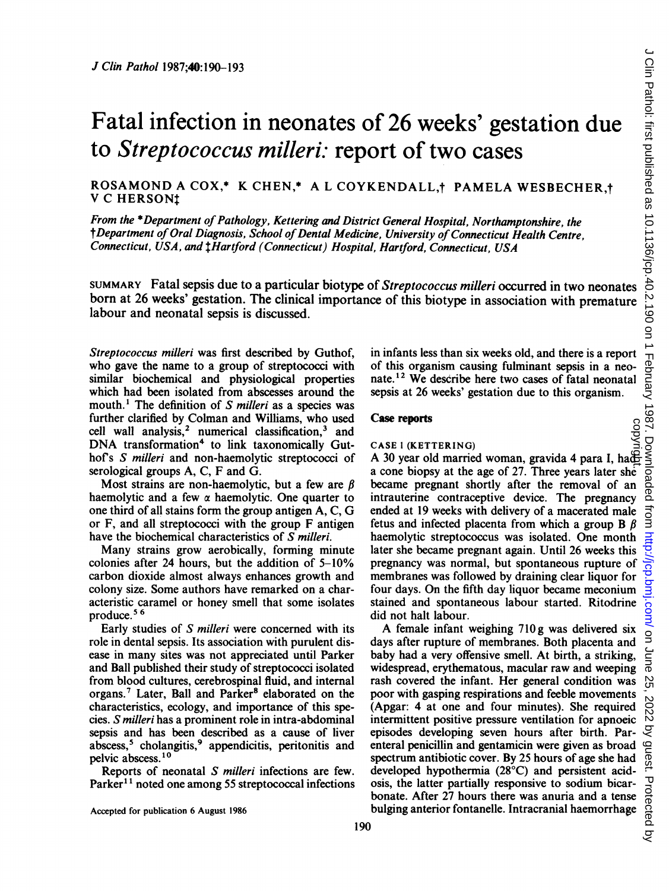# Fatal infection in neonates of 26 weeks' gestation due to Streptococcus milleri: report of two cases

# ROSAMOND A COX,\* K CHEN,\* A L COYKENDALL, PAMELA WESBECHER,t V C HERSONt

From the \*Department of Pathology, Kettering and District General Hospital, Northamptonshire, the †Department of Oral Diagnosis, School of Dental Medicine, University of Connecticut Health Centre, Connecticut, USA, and tHartford (Connecticut) Hospital, Hartford, Connecticut, USA

SUMMARY Fatal sepsis due to a particular biotype of Streptococcus milleri occurred in two neonates born at 26 weeks' gestation. The clinical importance of this biotype in association with premature labour and neonatal sepsis is discussed.

Streptococcus milleri was first described by Guthof, who gave the name to a group of streptococci with similar biochemical and physiological properties which had been isolated from abscesses around the mouth.<sup>1</sup> The definition of S milleri as a species was further clarified by Colman and Williams, who used cell wall analysis,<sup>2</sup> numerical classification,<sup>3</sup> and DNA transformation<sup>4</sup> to link taxonomically Guthof's S milleri and non-haemolytic streptococci of serological groups  $A, C, F$  and  $\tilde{G}$ .

Most strains are non-haemolytic, but a few are  $\beta$ haemolytic and a few  $\alpha$  haemolytic. One quarter to one third of all stains form the group antigen A, C, G or F, and all streptococci with the group F antigen have the biochemical characteristics of S milleri.

Many strains grow aerobically, forming minute colonies after 24 hours, but the addition of 5-10% carbon dioxide almost always enhances growth and colony size. Some authors have remarked on a characteristic caramel or honey smell that some isolates produce. <sup>5</sup> 6

Early studies of S milleri were concerned with its role in dental sepsis. Its association with purulent disease in many sites was not appreciated until Parker and Ball published their study of streptococci isolated from blood cultures, cerebrospinal fluid, and internal organs.<sup>7</sup> Later, Ball and Parker<sup>8</sup> elaborated on the characteristics, ecology, and importance of this species. S milleri has a prominent role in intra-abdominal sepsis and has been described as a cause of liver abscess,<sup>5</sup> cholangitis,<sup>9</sup> appendicitis, peritonitis and pelvic abscess.10

Reports of neonatal S milleri infections are few. Parker<sup>11</sup> noted one among 55 streptococcal infections

Accepted for publication 6 August 1986

in infants less than six weeks old, and there is a report of this organism causing fulminant sepsis in a neonate.<sup>12</sup> We describe here two cases of fatal neonatal sepsis at 26 weeks' gestation due to this organism.

#### Case reports

CASE 1 (KETTERING)<br>
A 30 year old married woman, gravida 4 para I, hadding a cone biopsy at the age of 27. Three years later she became pregnant shortly after the removal of an intrauterine contraceptive device. The pregnancy ended at 19 weeks with delivery of a macerated male fetus and infected placenta from which a group  $\bf{B}$   $\beta$ haemolytic streptococcus was isolated. One month later she became pregnant again. Until 26 weeks this pregnancy was normal, but spontaneous rupture of membranes was followed by draining clear liquor for four days. On the fifth day liquor became meconium stained and spontaneous labour started. Ritodrine did not halt labour.

A female infant weighing 710g was delivered six days after rupture of membranes. Both placenta and baby had a very offensive smell. At birth, a striking, widespread, erythematous, macular raw and weeping rash covered the infant. Her general condition was poor with gasping respirations and feeble movements (Apgar: 4 at one and four minutes). She required intermittent positive pressure ventilation for apnoeic episodes developing seven hours after birth. Parenteral penicillin and gentamicin were given as broad spectrum antibiotic cover. By 25 hours of age she had developed hypothermia (28°C) and persistent acidosis, the latter partially responsive to sodium bicarbonate. After 27 hours there was anuria and a tense bulging anterior fontanelle. Intracranial haemorrhage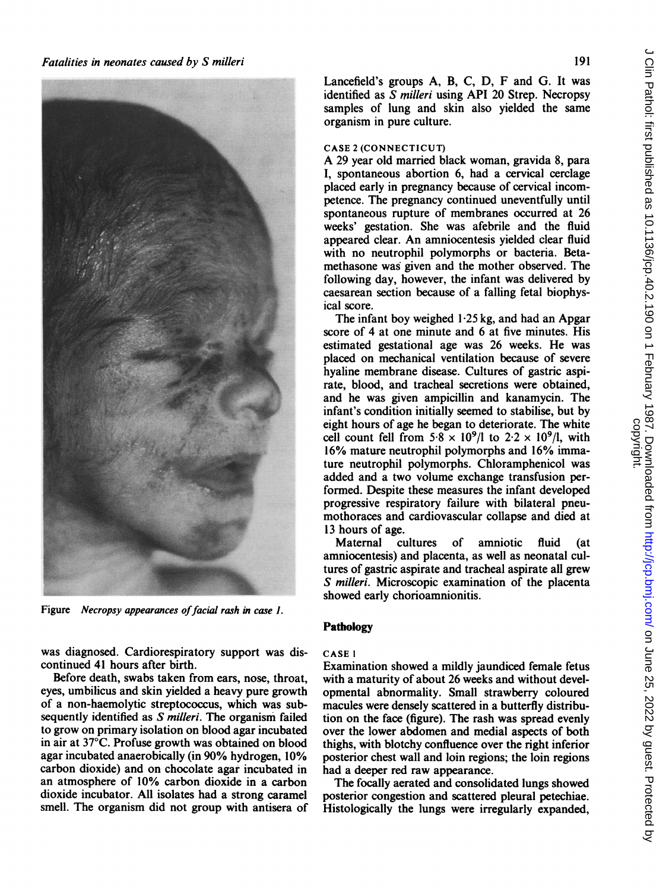

Figure Necropsy appearances of facial rash in case 1.

was diagnosed. Cardiorespiratory support was discontinued 41 hours after birth.

Before death, swabs taken from ears, nose, throat, eyes, umbilicus and skin yielded a heavy pure growth of a non-haemolytic streptococcus, which was subsequently identified as *S milleri*. The organism failed to grow on primary isolation on blood agar incubated in air at 37°C. Profuse growth was obtained on blood agar incubated anaerobically (in 90% hydrogen, 10% carbon dioxide) and on chocolate agar incubated in an atmosphere of 10% carbon dioxide in a carbon dioxide incubator. All isolates had a strong caramel smell. The organism did not group with antisera of Lancefield's groups A, B, C, D, F and G. It was identified as S milleri using API 20 Strep. Necropsy samples of lung and skin also yielded the same organism in pure culture.

#### CASE <sup>2</sup> (CONNECTICUT)

A <sup>29</sup> year old married black woman, gravida 8, para I, spontaneous abortion 6, had a cervical cerclage placed early in pregnancy because of cervical incompetence. The pregnancy continued uneventfully until spontaneous rupture of membranes occurred at 26 weeks' gestation. She was afebrile and the fluid appeared clear. An amniocentesis yielded clear fluid with no neutrophil polymorphs or bacteria. Betamethasone was given and the mother observed. The following day, however, the infant was delivered by caesarean section because of a falling fetal biophysical score.

The infant boy weighed 1-25 kg, and had an Apgar score of 4 at one minute and 6 at five minutes. His estimated gestational age was 26 weeks. He was placed on mechanical ventilation because of severe hyaline membrane disease. Cultures of gastric aspirate, blood, and tracheal secretions were obtained, and he was given ampicillin and kanamycin. The infant's condition initially seemed to stabilise, but by eight hours of age he began to deteriorate. The white cell count fell from  $5.8 \times 10^9$ /l to  $2.2 \times 10^9$ /l, with 16% mature neutrophil polymorphs and 16% immature neutrophil polymorphs. Chloramphenicol was added and a two volume exchange transfusion performed. Despite these measures the infant developed progressive respiratory failure with bilateral pneumothoraces and cardiovascular collapse and died at 13 hours of age.

Maternal cultures of amniotic fluid (at amniocentesis) and placenta, as well as neonatal cultures of gastric aspirate and tracheal aspirate all grew S milleri. Microscopic examination of the placenta showed early chorioamnionitis.

# Pathology

#### CASE <sup>I</sup>

Examination showed a mildly jaundiced female fetus with a maturity of about 26 weeks and without developmental abnormality. Small strawberry coloured macules were densely scattered in a butterfly distribution on the face (figure). The rash was spread evenly over the lower abdomen and medial aspects of both thighs, with blotchy confluence over the right inferior posterior chest wall and loin regions; the loin regions had a deeper red raw appearance.

The focally aerated and consolidated lungs showed posterior congestion and scattered pleural petechiae. Histologically the lungs were irregularly expanded,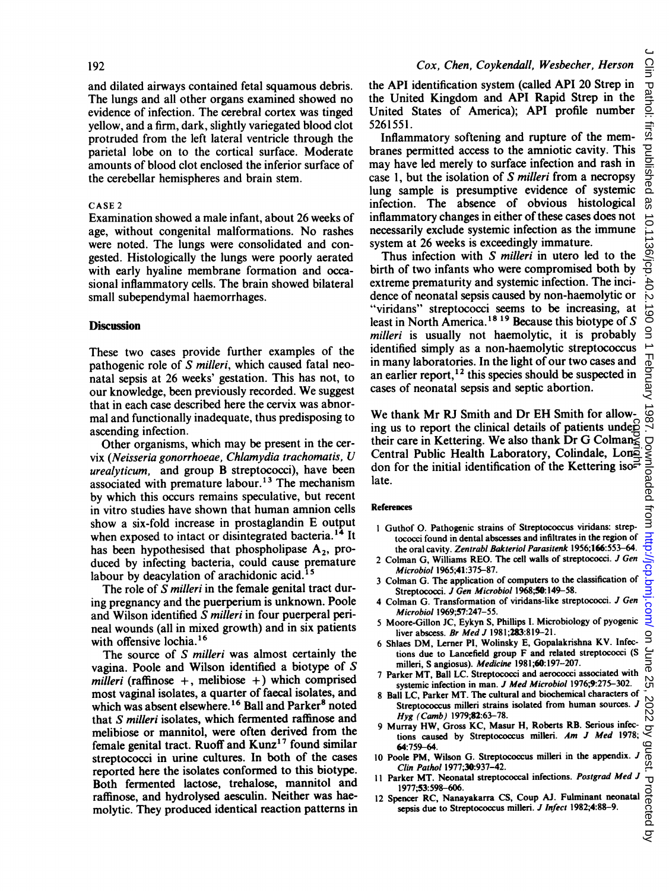and dilated airways contained fetal squamous debris. The lungs and all other organs examined showed no evidence of infection. The cerebral cortex was tinged yellow, and a firm, dark, slightly variegated blood clot protruded from the left lateral ventricle through the parietal lobe on to the cortical surface. Moderate amounts of blood clot enclosed the inferior surface of the cerebellar hemispheres and brain stem.

#### CASE <sup>2</sup>

Examination showed a male infant, about 26 weeks of age, without congenital malformations. No rashes were noted. The lungs were consolidated and congested. Histologically the lungs were poorly aerated with early hyaline membrane formation and occasional inflammatory cells. The brain showed bilateral small subependymal haemorrhages.

### **Discussion**

These two cases provide further examples of the pathogenic role of S milleri, which caused fatal neonatal sepsis at 26 weeks' gestation. This has not, to our knowledge, been previously recorded. We suggest that in each case described here the cervix was abnormal and functionally inadequate, thus predisposing to ascending infection.

Other organisms, which may be present in the cervix (Neisseria gonorrhoeae, Chlamydia trachomatis, U urealyticum, and group B streptococci), have been associated with premature labour.<sup>13</sup> The mechanism by which this occurs remains speculative, but recent in vitro studies have shown that human amnion cells show <sup>a</sup> six-fold increase in prostaglandin E output when exposed to intact or disintegrated bacteria.<sup>14</sup> It has been hypothesised that phospholipase  $A_2$ , produced by infecting bacteria, could cause premature labour by deacylation of arachidonic acid.<sup>15</sup>

The role of S milleri in the female genital tract during pregnancy and the puerperium is unknown. Poole and Wilson identified S milleri in four puerperal perineal wounds (all in mixed growth) and in six patients with offensive lochia.<sup>16</sup>

The source of S milleri was almost certainly the vagina. Poole and Wilson identified a biotype of S milleri (raffinose  $+$ , melibiose  $+$ ) which comprised most vaginal isolates, a quarter of faecal isolates, and which was absent elsewhere.<sup>16</sup> Ball and Parker<sup>8</sup> noted that S milleri isolates, which fermented raffinose and melibiose or mannitol, were often derived from the female genital tract. Ruoff and  $Kunz<sup>17</sup>$  found similar streptococci in urine cultures. In both of the cases reported here the isolates conformed to this biotype. Both fermented lactose, trehalose, mannitol and raffinose, and hydrolysed aesculin. Neither was haemolytic. They produced identical reaction patterns in the API identification system (called API 20 Strep in the United Kingdom and API Rapid Strep in the United States of America); API profile number 5261551.

Inflammatory softening and rupture of the membranes permitted access to the amniotic cavity. This may have led merely to surface infection and rash in case 1, but the isolation of S milleri from a necropsy lung sample is presumptive evidence of systemic infection. The absence of obvious histological inflammatory changes in either of these cases does not necessarily exclude systemic infection as the immune system at 26 weeks is exceedingly immature.

Thus infection with S milleri in utero led to the birth of two infants who were compromised both by extreme prematurity and systemic infection. The incidence of neonatal sepsis caused by non-haemolytic or "viridans" streptococci seems to be increasing, at least in North America.<sup>18</sup> <sup>19</sup> Because this biotype of S milleri is usually not haemolytic, it is probably identified simply as a non-haemolytic streptococcus in many laboratories. In the light of our two cases and an earlier report,<sup>12</sup> this species should be suspected in cases of neonatal sepsis and septic abortion.

We thank Mr RJ Smith and Dr EH Smith for allowing us to report the clinical details of patients under their care in Kettering. We also thank Dr G Colman $\leq$ ing us to report the clinical details of patients undeed<br>their care in Kettering. We also thank Dr G Colman $\leq$ <br>Central Public Health Laboratory, Colindale, Lon $\leq$ <br>don for the initial identification of the Kettering is don for the initial identification of the Kettering iso $\vec{r}$ late.

#### References

- <sup>1</sup> Guthof 0. Pathogenic strains of Streptococcus viridans: streptococci found in dental abscesses and infiltrates in the region of the oral cavity. Zentrabl Bakteriol Parasitenk 1956;166:553-64.
- <sup>2</sup> Colman G, Williams REO. The cell walls of streptococci. J Gen Microbiol 1965;41:375-87.
- <sup>3</sup> Colman G. The application of computers to the classification of Streptococci. J Gen Microbiol 1968;50:149-58.
- 4 Colman G. Transformation of viridans-like streptococci. J Gen Microbiol 1969;57:247-55.
- 5 Moore-Gillon JC, Eykyn S, Phillips I. Microbiology of pyogenic liver abscess. Br Med J 1981;283:819-21.
- <sup>6</sup> Shlaes DM, Lerner PI, Wolinsky E, Gopalakrishna KV. Infections due to Lancefield group F and related streptococci (S milleri, S angiosus). Medicine 1981;60:197-207.
- <sup>7</sup> Parker MT, Ball LC. Streptococci and aerococci associated with systemic infection in man. J Med Microbiol 1976;9:275-302.
- <sup>8</sup> Ball LC, Parker MT. The cultural and biochemical characters of Streptococcus milleri strains isolated from human sources. J Hyg (Camb) 1979;82:63-78.
- 9 Murray HW, Gross KC, Masur H, Roberts RB. Serious infections caused by Streptococcus milleri. Am J Med 1978; 64:759-64.
- <sup>10</sup> Poole PM, Wilson G. Streptococcus milleri in the appendix. J Clin Pathol 1977;30:937-42.
- 11 Parker MT. Neonatal streptococcal infections. Postgrad Med J 1977:53:598-606.
- 1977;53:598-606. 12 Spencer RC, Nanayakarra CS, Coup AJ. Fulminant neonatal sepsis due to Streptococcus milleri. J Infect 1982;4:88-9.